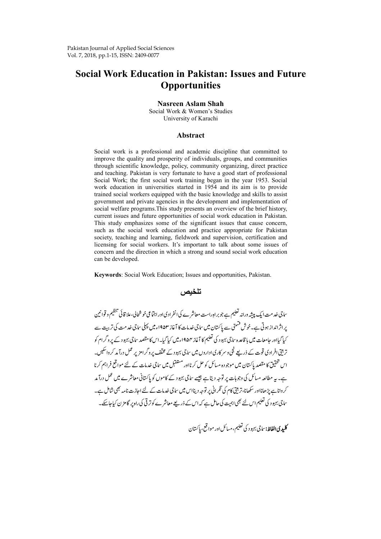# **Social Work Education in Pakistan: Issues and Future Opportunities**

#### **Nasreen Aslam Shah**

Social Work & Women's Studies University of Karachi

#### **Abstract**

Social work is a professional and academic discipline that committed to improve the quality and prosperity of individuals, groups, and communities through scientific knowledge, policy, community organizing, direct practice and teaching. Pakistan is very fortunate to have a good start of professional Social Work; the first social work training began in the year 1953. Social work education in universities started in 1954 and its aim is to provide trained social workers equipped with the basic knowledge and skills to assist government and private agencies in the development and implementation of social welfare programs.This study presents an overview of the brief history, current issues and future opportunities of social work education in Pakistan. This study emphasizes some of the significant issues that cause concern, such as the social work education and practice appropriate for Pakistan society, teaching and learning, fieldwork and supervision, certification and licensing for social workers. It's important to talk about some issues of concern and the direction in which a strong and sound social work education can be developed.

**Keywords**: Social Work Education; Issues and opportunities, Pakistan.

# **تلخيص**

ساجی خدمت ایک پبیشه ورانه تعلیم ہے جو بر ادِراست معاشرے کی انفراد کی اور اجتماعی خوشخالی، علا قائی تنظیم و قواننین یراثرانداز ہوتی ہے۔خوش قسمتی سے پاکستان میں ساجی خدمات کا آغاز ۱۹۵۳ء میں پہلی ساجی خد مت کی تربیت سے کیا گیااور حامعات میں با قاعدہ ساجی بہبود کی تعلیم کا آغاز ۱۹۵۴ء میں کیا گیا۔اس کا مقصد ساجی بہبود کے پرو کرام کو تر بیتی افرادی قوت کے ذریعے نجی و سر کاری اداروں میں ساجی بہبود کے مخلف پروگرامزیر عمل درآ مد کر داسکیں۔ اس حقیق کا مقصد یا کستان میں موجودہ مسائل کو حل کرنااور مستقبل میں ساجی خدمات کے لئے مواقع فراہم کرنا ہے۔ یہ مطالعہ مسائل کی وجوہات پر توجہ دیتاہے جیسے ساجی بہبود کے کاموں کو پاکستانی معاشرے میں عمل درآمد کرواناہے بڑھانااور سکھانا،تر بتی کام کی ٹکرانی پر توجہ دینااس میں ساجی خدمات کے لئے اجازت نامہ بھی شامل ہے۔ ساجی بہود کی تعلیم اس لئے بھی اہمیت کی حامل ہے کہ اس کے ذریعے معاشرے کو تر فی کی راہ پر گا مزن کیاجاسکے۔

**کلیدی الفاظ:** ساجی بهبو د کی تعلیم، مسائل اور مواقع، پاکستان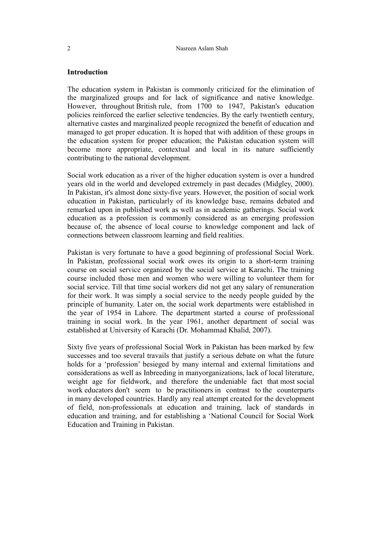#### **Introduction**

The education system in Pakistan is commonly criticized for the elimination of the marginalized groups and for lack of significance and native knowledge. However, throughout British rule, from 1700 to 1947, Pakistan's education policies reinforced the earlier selective tendencies. By the early twentieth century, alternative castes and marginalized people recognized the benefit of education and managed to get proper education. It is hoped that with addition of these groups in the education system for proper education; the Pakistan education system will become more appropriate, contextual and local in its nature sufficiently contributing to the national development.

Social work education as a river of the higher education system is over a hundred years old in the world and developed extremely in past decades (Midgley, 2000). In Pakistan, it's almost done sixty-five years. However, the position of social work education in Pakistan, particularly of its knowledge base, remains debated and remarked upon in published work as well as in academic gatherings. Social work education as a profession is commonly considered as an emerging profession because of, the absence of local course to knowledge component and lack of connections between classroom learning and field realities.

Pakistan is very fortunate to have a good beginning of professional Social Work. In Pakistan, professional social work owes its origin to a short-term training course on social service organized by the social service at Karachi. The training course included those men and women who were willing to volunteer them for social service. Till that time social workers did not get any salary of remuneration for their work. It was simply a social service to the needy people guided by the principle of humanity. Later on, the social work departments were established in the year of 1954 in Lahore. The department started a course of professional training in social work. In the year 1961, another department of social was established at University of Karachi (Dr. Mohammad Khalid, 2007).

Sixty five years of professional Social Work in Pakistan has been marked by few successes and too several travails that justify a serious debate on what the future holds for a 'profession' besieged by many internal and external limitations and considerations as well as Inbreeding in manyorganizations, lack of local literature, weight age for fieldwork, and therefore the undeniable fact that most social work educators don't seem to be practitioners in contrast to the counterparts in many developed countries. Hardly any real attempt created for the development of field, non-professionals at education and training, lack of standards in education and training, and for establishing a 'National Council for Social Work Education and Training in Pakistan.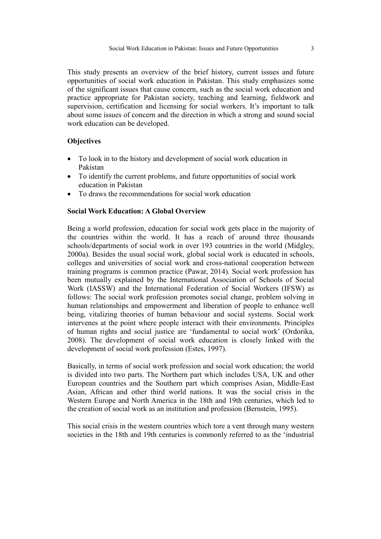This study presents an overview of the brief history, current issues and future opportunities of social work education in Pakistan. This study emphasizes some of the significant issues that cause concern, such as the social work education and practice appropriate for Pakistan society, teaching and learning, fieldwork and supervision, certification and licensing for social workers. It's important to talk about some issues of concern and the direction in which a strong and sound social work education can be developed.

## **Objectives**

- To look in to the history and development of social work education in Pakistan
- To identify the current problems, and future opportunities of social work education in Pakistan
- To draws the recommendations for social work education

#### **Social Work Education: A Global Overview**

Being a world profession, education for social work gets place in the majority of the countries within the world. It has a reach of around three thousands schools/departments of social work in over 193 countries in the world (Midgley, 2000a). Besides the usual social work, global social work is educated in schools, colleges and universities of social work and cross-national cooperation between training programs is common practice (Pawar, 2014). Social work profession has been mutually explained by the International Association of Schools of Social Work (IASSW) and the International Federation of Social Workers (IFSW) as follows: The social work profession promotes social change, problem solving in human relationships and empowerment and liberation of people to enhance well being, vitalizing theories of human behaviour and social systems. Social work intervenes at the point where people interact with their environments. Principles of human rights and social justice are 'fundamental to social work' (Ordorika, 2008). The development of social work education is closely linked with the development of social work profession (Estes, 1997).

Basically, in terms of social work profession and social work education; the world is divided into two parts. The Northern part which includes USA, UK and other European countries and the Southern part which comprises Asian, Middle-East Asian, African and other third world nations. It was the social crisis in the Western Europe and North America in the 18th and 19th centuries, which led to the creation of social work as an institution and profession (Bernstein, 1995).

This social crisis in the western countries which tore a vent through many western societies in the 18th and 19th centuries is commonly referred to as the 'industrial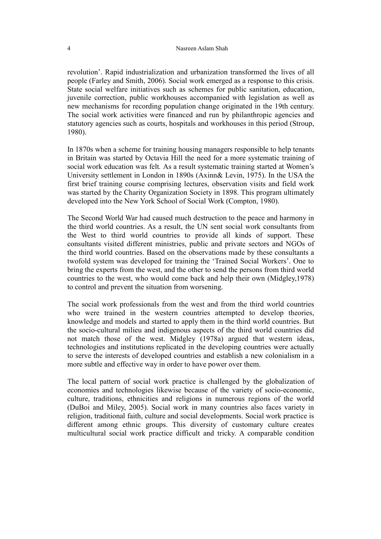revolution'. Rapid industrialization and urbanization transformed the lives of all people (Farley and Smith, 2006). Social work emerged as a response to this crisis. State social welfare initiatives such as schemes for public sanitation, education, juvenile correction, public workhouses accompanied with legislation as well as new mechanisms for recording population change originated in the 19th century. The social work activities were financed and run by philanthropic agencies and statutory agencies such as courts, hospitals and workhouses in this period (Stroup, 1980).

In 1870s when a scheme for training housing managers responsible to help tenants in Britain was started by Octavia Hill the need for a more systematic training of social work education was felt*.* As a result systematic training started at Women's University settlement in London in 1890s (Axinn& Levin, 1975). In the USA the first brief training course comprising lectures, observation visits and field work was started by the Charity Organization Society in 1898. This program ultimately developed into the New York School of Social Work (Compton, 1980).

The Second World War had caused much destruction to the peace and harmony in the third world countries. As a result, the UN sent social work consultants from the West to third world countries to provide all kinds of support. These consultants visited different ministries, public and private sectors and NGOs of the third world countries. Based on the observations made by these consultants a twofold system was developed for training the 'Trained Social Workers'. One to bring the experts from the west, and the other to send the persons from third world countries to the west, who would come back and help their own (Midgley,1978) to control and prevent the situation from worsening.

The social work professionals from the west and from the third world countries who were trained in the western countries attempted to develop theories, knowledge and models and started to apply them in the third world countries. But the socio-cultural milieu and indigenous aspects of the third world countries did not match those of the west. Midgley (1978a) argued that western ideas, technologies and institutions replicated in the developing countries were actually to serve the interests of developed countries and establish a new colonialism in a more subtle and effective way in order to have power over them.

The local pattern of social work practice is challenged by the globalization of economies and technologies likewise because of the variety of socio-economic, culture, traditions, ethnicities and religions in numerous regions of the world (DuBoi and Miley, 2005). Social work in many countries also faces variety in religion, traditional faith, culture and social developments. Social work practice is different among ethnic groups. This diversity of customary culture creates multicultural social work practice difficult and tricky. A comparable condition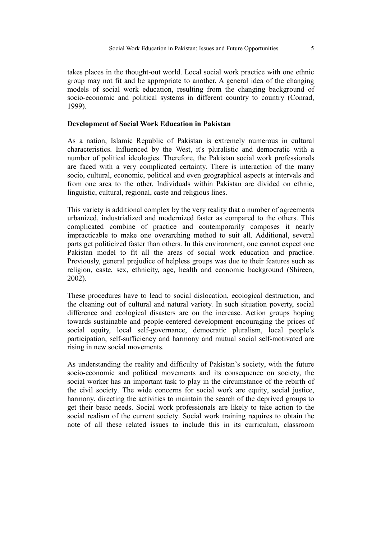takes places in the thought-out world. Local social work practice with one ethnic group may not fit and be appropriate to another. A general idea of the changing models of social work education, resulting from the changing background of socio-economic and political systems in different country to country (Conrad, 1999).

## **Development of Social Work Education in Pakistan**

As a nation, Islamic Republic of Pakistan is extremely numerous in cultural characteristics. Influenced by the West, it's pluralistic and democratic with a number of political ideologies. Therefore, the Pakistan social work professionals are faced with a very complicated certainty. There is interaction of the many socio, cultural, economic, political and even geographical aspects at intervals and from one area to the other. Individuals within Pakistan are divided on ethnic, linguistic, cultural, regional, caste and religious lines.

This variety is additional complex by the very reality that a number of agreements urbanized, industrialized and modernized faster as compared to the others. This complicated combine of practice and contemporarily composes it nearly impracticable to make one overarching method to suit all. Additional, several parts get politicized faster than others. In this environment, one cannot expect one Pakistan model to fit all the areas of social work education and practice. Previously, general prejudice of helpless groups was due to their features such as religion, caste, sex, ethnicity, age, health and economic background (Shireen, 2002).

These procedures have to lead to social dislocation, ecological destruction, and the cleaning out of cultural and natural variety. In such situation poverty, social difference and ecological disasters are on the increase. Action groups hoping towards sustainable and people-centered development encouraging the prices of social equity, local self-governance, democratic pluralism, local people's participation, self-sufficiency and harmony and mutual social self-motivated are rising in new social movements.

As understanding the reality and difficulty of Pakistan's society, with the future socio-economic and political movements and its consequence on society, the social worker has an important task to play in the circumstance of the rebirth of the civil society. The wide concerns for social work are equity, social justice, harmony, directing the activities to maintain the search of the deprived groups to get their basic needs. Social work professionals are likely to take action to the social realism of the current society. Social work training requires to obtain the note of all these related issues to include this in its curriculum, classroom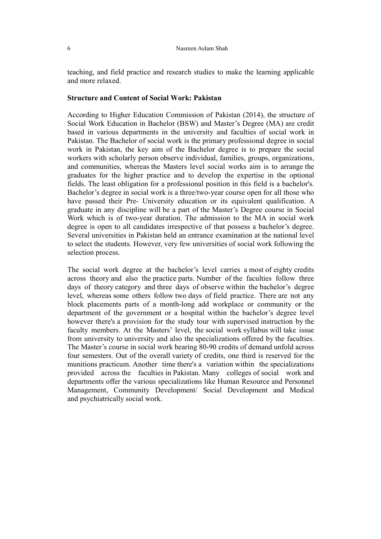teaching, and field practice and research studies to make the learning applicable and more relaxed.

#### **Structure and Content of Social Work: Pakistan**

According to Higher Education Commission of Pakistan (2014), the structure of Social Work Education in Bachelor (BSW) and Master's Degree (MA) are credit based in various departments in the university and faculties of social work in Pakistan. The Bachelor of social work is the primary professional degree in social work in Pakistan, the key aim of the Bachelor degree is to prepare the social workers with scholarly person observe individual, families, groups, organizations, and communities, whereas the Masters level social works aim is to arrange the graduates for the higher practice and to develop the expertise in the optional fields. The least obligation for a professional position in this field is a bachelor's. Bachelor's degree in social work is a three/two-year course open for all those who have passed their Pre- University education or its equivalent qualification. A graduate in any discipline will be a part of the Master's Degree course in Social Work which is of two-year duration. The admission to the MA in social work degree is open to all candidates irrespective of that possess a bachelor's degree. Several universities in Pakistan held an entrance examination at the national level to select the students. However, very few universities of social work following the selection process.

The social work degree at the bachelor's level carries a most of eighty credits across theory and also the practice parts. Number of the faculties follow three days of theory category and three days of observe within the bachelor's degree level, whereas some others follow two days of field practice. There are not any block placements parts of a month-long add workplace or community or the department of the government or a hospital within the bachelor's degree level however there's a provision for the study tour with supervised instruction by the faculty members. At the Masters' level, the social work syllabus will take issue from university to university and also the specializations offered by the faculties. The Master's course in social work bearing 80-90 credits of demand unfold across four semesters. Out of the overall variety of credits, one third is reserved for the munitions practicum. Another time there's a variation within the specializations provided across the faculties in Pakistan. Many colleges of social work and departments offer the various specializations like Human Resource and Personnel Management, Community Development/ Social Development and Medical and psychiatrically social work.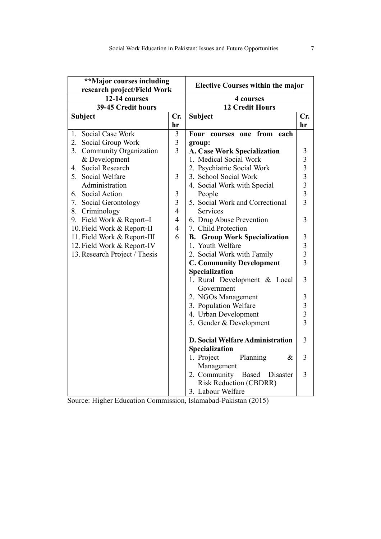| **Major courses including<br>research project/Field Work |                         | <b>Elective Courses within the major</b> |                                            |
|----------------------------------------------------------|-------------------------|------------------------------------------|--------------------------------------------|
| 12-14 courses                                            |                         | 4 courses                                |                                            |
| 39-45 Credit hours                                       |                         | <b>12 Credit Hours</b>                   |                                            |
| Subject                                                  | Cr.                     | <b>Subject</b>                           | Cr.                                        |
|                                                          | hr                      |                                          | hr                                         |
| Social Case Work<br>1.                                   | $\mathfrak{Z}$          | from<br>one<br>Four<br>courses<br>each   |                                            |
| 2.<br>Social Group Work                                  | $\overline{\mathbf{3}}$ | group:                                   |                                            |
| 3.<br>Community Organization                             | $\overline{3}$          | <b>A. Case Work Specialization</b>       | 3                                          |
| & Development                                            |                         | 1. Medical Social Work                   | $3333$<br>$333$                            |
| Social Research<br>4.                                    |                         | 2. Psychiatric Social Work               |                                            |
| Social Welfare<br>5.                                     | 3                       | 3. School Social Work                    |                                            |
| Administration                                           |                         | 4. Social Work with Special              |                                            |
| Social Action<br>6.                                      | $\mathfrak{Z}$          | People                                   |                                            |
| Social Gerontology<br>7.                                 | $\overline{3}$          | 5. Social Work and Correctional          |                                            |
| 8.<br>Criminology                                        | $\overline{4}$          | Services                                 |                                            |
| 9. Field Work & Report-I                                 | $\overline{4}$          | 6. Drug Abuse Prevention                 | 3                                          |
| 10. Field Work & Report-II                               | $\overline{4}$          | 7. Child Protection                      |                                            |
| 11. Field Work & Report-III                              | 6                       | <b>B.</b> Group Work Specialization      | $\mathfrak{Z}$                             |
| 12. Field Work & Report-IV                               |                         | 1. Youth Welfare                         | $\begin{array}{c} 3 \\ 3 \\ 3 \end{array}$ |
| 13. Research Project / Thesis                            |                         | 2. Social Work with Family               |                                            |
|                                                          |                         | <b>C. Community Development</b>          |                                            |
|                                                          |                         | Specialization                           |                                            |
|                                                          |                         | 1. Rural Development & Local             | 3                                          |
|                                                          |                         | Government                               |                                            |
|                                                          |                         | 2. NGOs Management                       |                                            |
|                                                          |                         | 3. Population Welfare                    |                                            |
|                                                          |                         | 4. Urban Development                     | $\begin{array}{c} 3 \\ 3 \\ 3 \end{array}$ |
|                                                          |                         | 5. Gender & Development                  |                                            |
|                                                          |                         | <b>D. Social Welfare Administration</b>  | 3                                          |
|                                                          |                         | Specialization                           |                                            |
|                                                          |                         | 1. Project<br>Planning<br>&              | 3                                          |
|                                                          |                         | Management                               |                                            |
|                                                          |                         | 2. Community<br>Based<br>Disaster        | 3                                          |
|                                                          |                         | <b>Risk Reduction (CBDRR)</b>            |                                            |
|                                                          |                         | 3. Labour Welfare                        |                                            |

Source: Higher Education Commission, Islamabad-Pakistan (2015)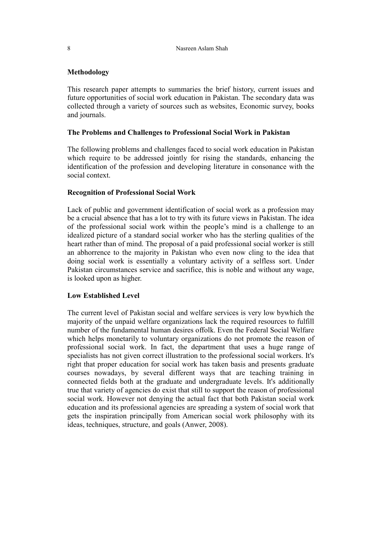# **Methodology**

This research paper attempts to summaries the brief history, current issues and future opportunities of social work education in Pakistan. The secondary data was collected through a variety of sources such as websites, Economic survey, books and journals.

## **The Problems and Challenges to Professional Social Work in Pakistan**

The following problems and challenges faced to social work education in Pakistan which require to be addressed jointly for rising the standards, enhancing the identification of the profession and developing literature in consonance with the social context.

# **Recognition of Professional Social Work**

Lack of public and government identification of social work as a profession may be a crucial absence that has a lot to try with its future views in Pakistan. The idea of the professional social work within the people's mind is a challenge to an idealized picture of a standard social worker who has the sterling qualities of the heart rather than of mind. The proposal of a paid professional social worker is still an abhorrence to the majority in Pakistan who even now cling to the idea that doing social work is essentially a voluntary activity of a selfless sort. Under Pakistan circumstances service and sacrifice, this is noble and without any wage, is looked upon as higher.

## **Low Established Level**

The current level of Pakistan social and welfare services is very low bywhich the majority of the unpaid welfare organizations lack the required resources to fulfill number of the fundamental human desires offolk. Even the Federal Social Welfare which helps monetarily to voluntary organizations do not promote the reason of professional social work. In fact, the department that uses a huge range of specialists has not given correct illustration to the professional social workers. It's right that proper education for social work has taken basis and presents graduate courses nowadays, by several different ways that are teaching training in connected fields both at the graduate and undergraduate levels. It's additionally true that variety of agencies do exist that still to support the reason of professional social work. However not denying the actual fact that both Pakistan social work education and its professional agencies are spreading a system of social work that gets the inspiration principally from American social work philosophy with its ideas, techniques, structure, and goals (Anwer, 2008).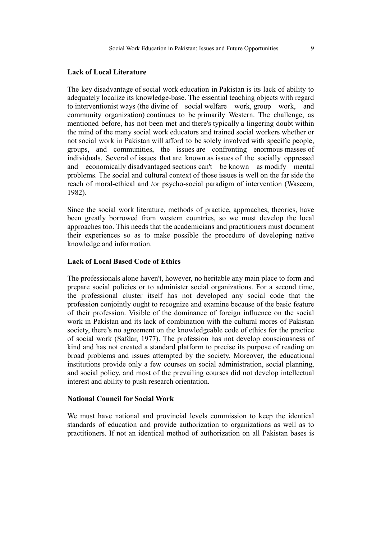#### **Lack of Local Literature**

The key disadvantage of social work education in Pakistan is its lack of ability to adequately localize its knowledge-base. The essential teaching objects with regard to interventionist ways (the divine of social welfare work, group work, and community organization) continues to be primarily Western. The challenge, as mentioned before, has not been met and there's typically a lingering doubt within the mind of the many social work educators and trained social workers whether or not social work in Pakistan will afford to be solely involved with specific people, groups, and communities, the issues are confronting enormous masses of individuals. Several of issues that are known as issues of the socially oppressed and economically disadvantaged sections can't be known as modify mental problems. The social and cultural context of those issues is well on the far side the reach of moral-ethical and /or psycho-social paradigm of intervention (Waseem, 1982).

Since the social work literature, methods of practice, approaches, theories, have been greatly borrowed from western countries, so we must develop the local approaches too. This needs that the academicians and practitioners must document their experiences so as to make possible the procedure of developing native knowledge and information.

#### **Lack of Local Based Code of Ethics**

The professionals alone haven't, however, no heritable any main place to form and prepare social policies or to administer social organizations. For a second time, the professional cluster itself has not developed any social code that the profession conjointly ought to recognize and examine because of the basic feature of their profession. Visible of the dominance of foreign influence on the social work in Pakistan and its lack of combination with the cultural mores of Pakistan society, there's no agreement on the knowledgeable code of ethics for the practice of social work (Safdar, 1977). The profession has not develop consciousness of kind and has not created a standard platform to precise its purpose of reading on broad problems and issues attempted by the society. Moreover, the educational institutions provide only a few courses on social administration, social planning, and social policy, and most of the prevailing courses did not develop intellectual interest and ability to push research orientation.

#### **National Council for Social Work**

We must have national and provincial levels commission to keep the identical standards of education and provide authorization to organizations as well as to practitioners. If not an identical method of authorization on all Pakistan bases is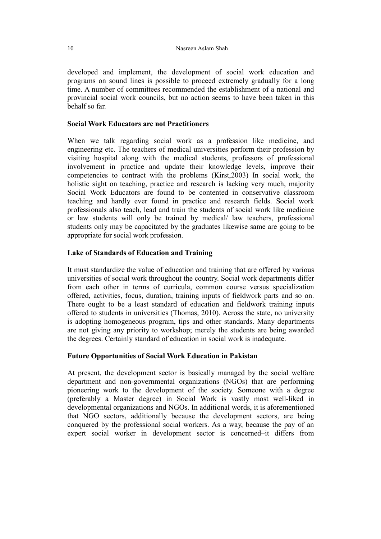developed and implement, the development of social work education and programs on sound lines is possible to proceed extremely gradually for a long time. A number of committees recommended the establishment of a national and provincial social work councils, but no action seems to have been taken in this behalf so far.

# **Social Work Educators are not Practitioners**

When we talk regarding social work as a profession like medicine, and engineering etc. The teachers of medical universities perform their profession by visiting hospital along with the medical students, professors of professional involvement in practice and update their knowledge levels, improve their competencies to contract with the problems (Kirst,2003) In social work, the holistic sight on teaching, practice and research is lacking very much, majority Social Work Educators are found to be contented in conservative classroom teaching and hardly ever found in practice and research fields. Social work professionals also teach, lead and train the students of social work like medicine or law students will only be trained by medical/ law teachers, professional students only may be capacitated by the graduates likewise same are going to be appropriate for social work profession.

# **Lake of Standards of Education and Training**

It must standardize the value of education and training that are offered by various universities of social work throughout the country. Social work departments differ from each other in terms of curricula, common course versus specialization offered, activities, focus, duration, training inputs of fieldwork parts and so on. There ought to be a least standard of education and fieldwork training inputs offered to students in universities (Thomas, 2010). Across the state, no university is adopting homogeneous program, tips and other standards. Many departments are not giving any priority to workshop; merely the students are being awarded the degrees. Certainly standard of education in social work is inadequate.

# **Future Opportunities of Social Work Education in Pakistan**

At present, the development sector is basically managed by the social welfare department and non-governmental organizations (NGOs) that are performing pioneering work to the development of the society. Someone with a degree (preferably a Master degree) in Social Work is vastly most well-liked in developmental organizations and NGOs. In additional words, it is aforementioned that NGO sectors, additionally because the development sectors, are being conquered by the professional social workers. As a way, because the pay of an expert social worker in development sector is concerned–it differs from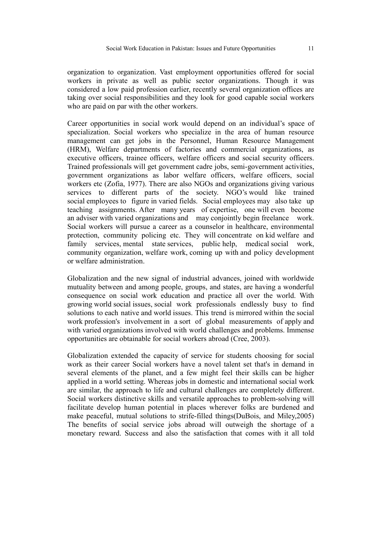organization to organization. Vast employment opportunities offered for social workers in private as well as public sector organizations. Though it was considered a low paid profession earlier, recently several organization offices are taking over social responsibilities and they look for good capable social workers who are paid on par with the other workers.

Career opportunities in social work would depend on an individual's space of specialization. Social workers who specialize in the area of human resource management can get jobs in the Personnel, Human Resource Management (HRM), Welfare departments of factories and commercial organizations, as executive officers, trainee officers, welfare officers and social security officers. Trained professionals will get government cadre jobs, semi-government activities, government organizations as labor welfare officers, welfare officers, social workers etc (Zofia, 1977). There are also NGOs and organizations giving various services to different parts of the society. NGO's would like trained social employees to figure in varied fields. Social employees may also take up teaching assignments. After many years of expertise, one will even become an adviser with varied organizations and may conjointly begin freelance work. Social workers will pursue a career as a counselor in healthcare, environmental protection, community policing etc. They will concentrate on kid welfare and family services, mental state services, public help, medical social work, community organization, welfare work, coming up with and policy development or welfare administration.

Globalization and the new signal of industrial advances, joined with worldwide mutuality between and among people, groups, and states, are having a wonderful consequence on social work education and practice all over the world. With growing world social issues, social work professionals endlessly busy to find solutions to each native and world issues. This trend is mirrored within the social work profession's involvement in a sort of global measurements of apply and with varied organizations involved with world challenges and problems. Immense opportunities are obtainable for social workers abroad (Cree, 2003).

Globalization extended the capacity of service for students choosing for social work as their career Social workers have a novel talent set that's in demand in several elements of the planet, and a few might feel their skills can be higher applied in a world setting. Whereas jobs in domestic and international social work are similar, the approach to life and cultural challenges are completely different. Social workers distinctive skills and versatile approaches to problem-solving will facilitate develop human potential in places wherever folks are burdened and make peaceful, mutual solutions to strife-filled things(DuBois, and Miley,2005) The benefits of social service jobs abroad will outweigh the shortage of a monetary reward. Success and also the satisfaction that comes with it all told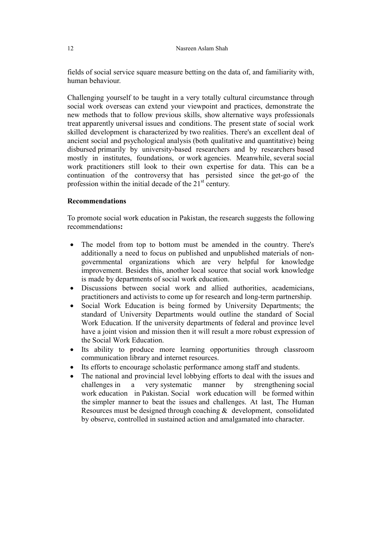fields of social service square measure betting on the data of, and familiarity with, human behaviour.

Challenging yourself to be taught in a very totally cultural circumstance through social work overseas can extend your viewpoint and practices, demonstrate the new methods that to follow previous skills, show alternative ways professionals treat apparently universal issues and conditions. The present state of social work skilled development is characterized by two realities. There's an excellent deal of ancient social and psychological analysis (both qualitative and quantitative) being disbursed primarily by university-based researchers and by researchers based mostly in institutes, foundations, or work agencies. Meanwhile, several social work practitioners still look to their own expertise for data. This can be a continuation of the controversy that has persisted since the get-go of the profession within the initial decade of the  $21<sup>st</sup>$  century.

# **Recommendations**

To promote social work education in Pakistan, the research suggests the following recommendations**:** 

- The model from top to bottom must be amended in the country. There's additionally a need to focus on published and unpublished materials of nongovernmental organizations which are very helpful for knowledge improvement. Besides this, another local source that social work knowledge is made by departments of social work education.
- Discussions between social work and allied authorities, academicians, practitioners and activists to come up for research and long-term partnership.
- Social Work Education is being formed by University Departments; the standard of University Departments would outline the standard of Social Work Education. If the university departments of federal and province level have a joint vision and mission then it will result a more robust expression of the Social Work Education.
- Its ability to produce more learning opportunities through classroom communication library and internet resources.
- Its efforts to encourage scholastic performance among staff and students.
- The national and provincial level lobbying efforts to deal with the issues and challenges in a very systematic manner by strengthening social work education in Pakistan. Social work education will be formed within the simpler manner to beat the issues and challenges. At last, The Human Resources must be designed through coaching  $\&$  development, consolidated by observe, controlled in sustained action and amalgamated into character.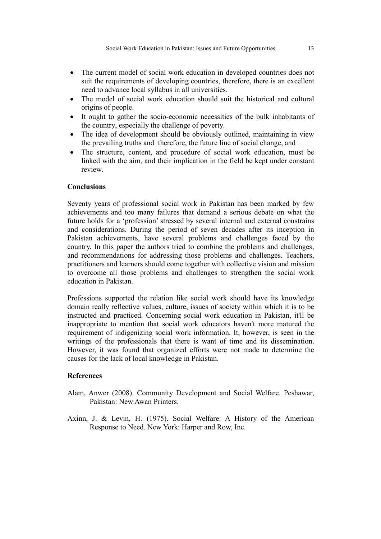- The current model of social work education in developed countries does not suit the requirements of developing countries, therefore, there is an excellent need to advance local syllabus in all universities.
- The model of social work education should suit the historical and cultural origins of people.
- It ought to gather the socio-economic necessities of the bulk inhabitants of the country, especially the challenge of poverty.
- The idea of development should be obviously outlined, maintaining in view the prevailing truths and therefore, the future line of social change, and
- The structure, content, and procedure of social work education, must be linked with the aim, and their implication in the field be kept under constant review.

## **Conclusions**

Seventy years of professional social work in Pakistan has been marked by few achievements and too many failures that demand a serious debate on what the future holds for a 'profession' stressed by several internal and external constrains and considerations. During the period of seven decades after its inception in Pakistan achievements, have several problems and challenges faced by the country. In this paper the authors tried to combine the problems and challenges, and recommendations for addressing those problems and challenges. Teachers, practitioners and learners should come together with collective vision and mission to overcome all those problems and challenges to strengthen the social work education in Pakistan.

Professions supported the relation like social work should have its knowledge domain really reflective values, culture, issues of society within which it is to be instructed and practiced. Concerning social work education in Pakistan, it'll be inappropriate to mention that social work educators haven't more matured the requirement of indigenizing social work information. It, however, is seen in the writings of the professionals that there is want of time and its dissemination. However, it was found that organized efforts were not made to determine the causes for the lack of local knowledge in Pakistan.

#### **References**

- Alam, Anwer (2008). Community Development and Social Welfare. Peshawar, Pakistan: New Awan Printers.
- Axinn, J. & Levin, H. (1975). Social Welfare: A History of the American Response to Need. New York: Harper and Row, Inc.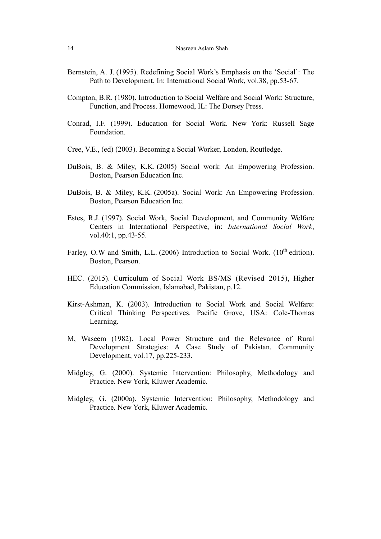- Bernstein, A. J. (1995). Redefining Social Work's Emphasis on the 'Social': The Path to Development, In: International Social Work, vol.38, pp.53-67.
- Compton, B.R. (1980). Introduction to Social Welfare and Social Work: Structure, Function, and Process. Homewood, IL: The Dorsey Press.
- Conrad, I.F. (1999). Education for Social Work*.* New York: Russell Sage Foundation.
- Cree, V.E., (ed) (2003). Becoming a Social Worker, London, Routledge.
- DuBois, B. & Miley, K.K. (2005) Social work: An Empowering Profession. Boston, Pearson Education Inc.
- DuBois, B. & Miley, K.K. (2005a). Social Work: An Empowering Profession. Boston, Pearson Education Inc.
- Estes, R.J. (1997). Social Work, Social Development, and Community Welfare Centers in International Perspective, in: *International Social Work*, vol.40:1, pp.43-55.
- Farley, O.W and Smith, L.L. (2006) Introduction to Social Work. ( $10<sup>th</sup>$  edition). Boston, Pearson.
- HEC. (2015). Curriculum of Social Work BS/MS (Revised 2015), Higher Education Commission, Islamabad, Pakistan, p.12.
- Kirst-Ashman, K. (2003). Introduction to Social Work and Social Welfare: Critical Thinking Perspectives. Pacific Grove, USA: Cole-Thomas Learning.
- M, Waseem (1982). Local Power Structure and the Relevance of Rural Development Strategies: A Case Study of Pakistan. Community Development, vol.17, pp.225-233.
- Midgley, G. (2000). Systemic Intervention: Philosophy, Methodology and Practice. New York, Kluwer Academic.
- Midgley, G. (2000a). Systemic Intervention: Philosophy, Methodology and Practice. New York, Kluwer Academic.